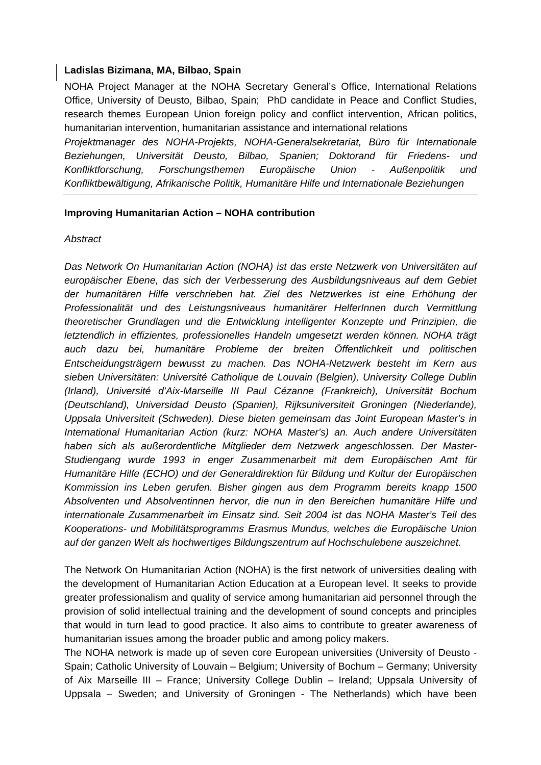## **Ladislas Bizimana, MA, Bilbao, Spain**

NOHA Project Manager at the NOHA Secretary General's Office, International Relations Office, University of Deusto, Bilbao, Spain; PhD candidate in Peace and Conflict Studies, research themes European Union foreign policy and conflict intervention, African politics, humanitarian intervention, humanitarian assistance and international relations *Projektmanager des NOHA-Projekts, NOHA-Generalsekretariat, Büro für Internationale Beziehungen, Universität Deusto, Bilbao, Spanien; Doktorand für Friedens- und Konfliktforschung, Forschungsthemen Europäische Union - Außenpolitik und* 

*Konfliktbewältigung, Afrikanische Politik, Humanitäre Hilfe und Internationale Beziehungen* 

### **Improving Humanitarian Action – NOHA contribution**

#### *Abstract*

*Das Network On Humanitarian Action (NOHA) ist das erste Netzwerk von Universitäten auf europäischer Ebene, das sich der Verbesserung des Ausbildungsniveaus auf dem Gebiet der humanitären Hilfe verschrieben hat. Ziel des Netzwerkes ist eine Erhöhung der Professionalität und des Leistungsniveaus humanitärer HelferInnen durch Vermittlung theoretischer Grundlagen und die Entwicklung intelligenter Konzepte und Prinzipien, die letztendlich in effizientes, professionelles Handeln umgesetzt werden können. NOHA trägt auch dazu bei, humanitäre Probleme der breiten Öffentlichkeit und politischen Entscheidungsträgern bewusst zu machen. Das NOHA-Netzwerk besteht im Kern aus sieben Universitäten: Université Catholique de Louvain (Belgien), University College Dublin (Irland), Université d'Aix-Marseille III Paul Cézanne (Frankreich), Universität Bochum (Deutschland), Universidad Deusto (Spanien), Rijksuniversiteit Groningen (Niederlande), Uppsala Universiteit (Schweden). Diese bieten gemeinsam das Joint European Master's in International Humanitarian Action (kurz: NOHA Master's) an. Auch andere Universitäten haben sich als außerordentliche Mitglieder dem Netzwerk angeschlossen. Der Master-Studiengang wurde 1993 in enger Zusammenarbeit mit dem Europäischen Amt für Humanitäre Hilfe (ECHO) und der Generaldirektion für Bildung und Kultur der Europäischen Kommission ins Leben gerufen. Bisher gingen aus dem Programm bereits knapp 1500 Absolventen und Absolventinnen hervor, die nun in den Bereichen humanitäre Hilfe und internationale Zusammenarbeit im Einsatz sind. Seit 2004 ist das NOHA Master's Teil des Kooperations- und Mobilitätsprogramms Erasmus Mundus, welches die Europäische Union auf der ganzen Welt als hochwertiges Bildungszentrum auf Hochschulebene auszeichnet.* 

The Network On Humanitarian Action (NOHA) is the first network of universities dealing with the development of Humanitarian Action Education at a European level. It seeks to provide greater professionalism and quality of service among humanitarian aid personnel through the provision of solid intellectual training and the development of sound concepts and principles that would in turn lead to good practice. It also aims to contribute to greater awareness of humanitarian issues among the broader public and among policy makers.

The NOHA network is made up of seven core European universities (University of Deusto - Spain; Catholic University of Louvain – Belgium; University of Bochum – Germany; University of Aix Marseille III – France; University College Dublin – Ireland; Uppsala University of Uppsala – Sweden; and University of Groningen - The Netherlands) which have been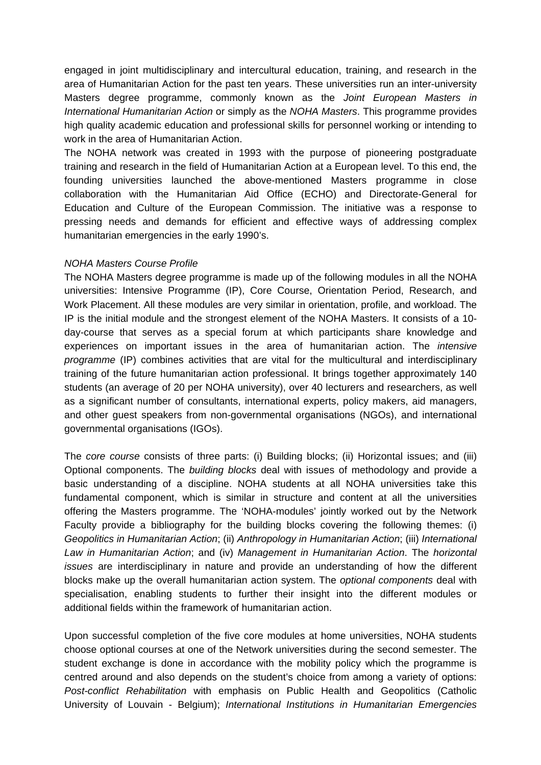engaged in joint multidisciplinary and intercultural education, training, and research in the area of Humanitarian Action for the past ten years. These universities run an inter-university Masters degree programme, commonly known as the *Joint European Masters in International Humanitarian Action* or simply as the *NOHA Masters*. This programme provides high quality academic education and professional skills for personnel working or intending to work in the area of Humanitarian Action.

The NOHA network was created in 1993 with the purpose of pioneering postgraduate training and research in the field of Humanitarian Action at a European level. To this end, the founding universities launched the above-mentioned Masters programme in close collaboration with the Humanitarian Aid Office (ECHO) and Directorate-General for Education and Culture of the European Commission. The initiative was a response to pressing needs and demands for efficient and effective ways of addressing complex humanitarian emergencies in the early 1990's.

### *NOHA Masters Course Profile*

The NOHA Masters degree programme is made up of the following modules in all the NOHA universities: Intensive Programme (IP), Core Course, Orientation Period, Research, and Work Placement. All these modules are very similar in orientation, profile, and workload. The IP is the initial module and the strongest element of the NOHA Masters. It consists of a 10 day-course that serves as a special forum at which participants share knowledge and experiences on important issues in the area of humanitarian action. The *intensive programme* (IP) combines activities that are vital for the multicultural and interdisciplinary training of the future humanitarian action professional. It brings together approximately 140 students (an average of 20 per NOHA university), over 40 lecturers and researchers, as well as a significant number of consultants, international experts, policy makers, aid managers, and other guest speakers from non-governmental organisations (NGOs), and international governmental organisations (IGOs).

The *core course* consists of three parts: (i) Building blocks; (ii) Horizontal issues; and (iii) Optional components. The *building blocks* deal with issues of methodology and provide a basic understanding of a discipline. NOHA students at all NOHA universities take this fundamental component, which is similar in structure and content at all the universities offering the Masters programme. The 'NOHA-modules' jointly worked out by the Network Faculty provide a bibliography for the building blocks covering the following themes: (i) *Geopolitics in Humanitarian Action*; (ii) *Anthropology in Humanitarian Action*; (iii) *International Law in Humanitarian Action*; and (iv) *Management in Humanitarian Action*. The *horizontal issues* are interdisciplinary in nature and provide an understanding of how the different blocks make up the overall humanitarian action system. The *optional components* deal with specialisation, enabling students to further their insight into the different modules or additional fields within the framework of humanitarian action.

Upon successful completion of the five core modules at home universities, NOHA students choose optional courses at one of the Network universities during the second semester. The student exchange is done in accordance with the mobility policy which the programme is centred around and also depends on the student's choice from among a variety of options: *Post-conflict Rehabilitation* with emphasis on Public Health and Geopolitics (Catholic University of Louvain - Belgium); *International Institutions in Humanitarian Emergencies*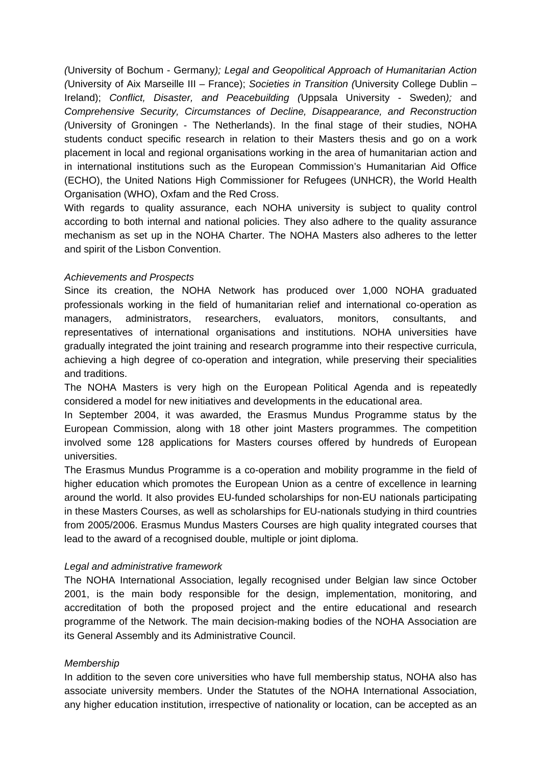*(*University of Bochum - Germany*); Legal and Geopolitical Approach of Humanitarian Action (*University of Aix Marseille III – France); *Societies in Transition (*University College Dublin – Ireland); *Conflict, Disaster, and Peacebuilding (*Uppsala University - Sweden*);* and *Comprehensive Security, Circumstances of Decline, Disappearance, and Reconstruction (*University of Groningen - The Netherlands). In the final stage of their studies, NOHA students conduct specific research in relation to their Masters thesis and go on a work placement in local and regional organisations working in the area of humanitarian action and in international institutions such as the European Commission's Humanitarian Aid Office (ECHO), the United Nations High Commissioner for Refugees (UNHCR), the World Health Organisation (WHO), Oxfam and the Red Cross.

With regards to quality assurance, each NOHA university is subject to quality control according to both internal and national policies. They also adhere to the quality assurance mechanism as set up in the NOHA Charter. The NOHA Masters also adheres to the letter and spirit of the Lisbon Convention.

## *Achievements and Prospects*

Since its creation, the NOHA Network has produced over 1,000 NOHA graduated professionals working in the field of humanitarian relief and international co-operation as managers, administrators, researchers, evaluators, monitors, consultants, and representatives of international organisations and institutions. NOHA universities have gradually integrated the joint training and research programme into their respective curricula, achieving a high degree of co-operation and integration, while preserving their specialities and traditions.

The NOHA Masters is very high on the European Political Agenda and is repeatedly considered a model for new initiatives and developments in the educational area.

In September 2004, it was awarded, the Erasmus Mundus Programme status by the European Commission, along with 18 other joint Masters programmes. The competition involved some 128 applications for Masters courses offered by hundreds of European universities.

The Erasmus Mundus Programme is a co-operation and mobility programme in the field of higher education which promotes the European Union as a centre of excellence in learning around the world. It also provides EU-funded scholarships for non-EU nationals participating in these Masters Courses, as well as scholarships for EU-nationals studying in third countries from 2005/2006. Erasmus Mundus Masters Courses are high quality integrated courses that lead to the award of a recognised double, multiple or joint diploma.

## *Legal and administrative framework*

The NOHA International Association, legally recognised under Belgian law since October 2001, is the main body responsible for the design, implementation, monitoring, and accreditation of both the proposed project and the entire educational and research programme of the Network. The main decision-making bodies of the NOHA Association are its General Assembly and its Administrative Council.

# *Membership*

In addition to the seven core universities who have full membership status, NOHA also has associate university members. Under the Statutes of the NOHA International Association, any higher education institution, irrespective of nationality or location, can be accepted as an